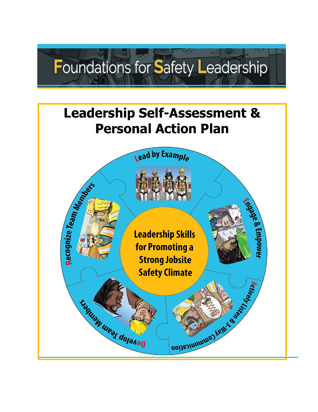

# **Leadership Self-Assessment & Personal Action Plan**

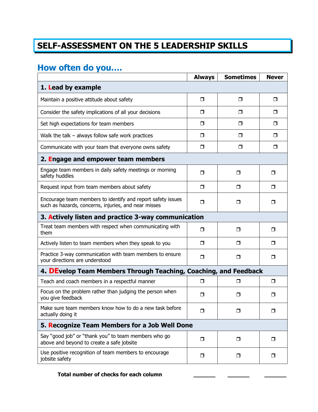## **SELF-ASSESSMENT ON THE 5 LEADERSHIP SKILLS**

#### **How often do you….**

|                                                                                                                     | <b>Always</b> | <b>Sometimes</b> | <b>Never</b> |
|---------------------------------------------------------------------------------------------------------------------|---------------|------------------|--------------|
| 1. Lead by example                                                                                                  |               |                  |              |
| Maintain a positive attitude about safety                                                                           | $\Box$        | □                | □            |
| Consider the safety implications of all your decisions                                                              | $\Box$        | □                | ⊓            |
| Set high expectations for team members                                                                              | $\Box$        | $\Box$           | □            |
| Walk the talk $-$ always follow safe work practices                                                                 | $\Box$        | □                | □            |
| Communicate with your team that everyone owns safety                                                                | $\Box$        | $\Box$           | □            |
| 2. Engage and empower team members                                                                                  |               |                  |              |
| Engage team members in daily safety meetings or morning<br>safety huddles                                           | □             | ⊓                | □            |
| Request input from team members about safety                                                                        | $\Box$        | $\Box$           | □            |
| Encourage team members to identify and report safety issues<br>such as hazards, concerns, injuries, and near misses | $\Box$        | □                | □            |
| 3. Actively listen and practice 3-way communication                                                                 |               |                  |              |
| Treat team members with respect when communicating with<br>them                                                     | $\Box$        | $\Box$           | □            |
| Actively listen to team members when they speak to you                                                              | $\Box$        | $\Box$           | □            |
| Practice 3-way communication with team members to ensure<br>your directions are understood                          | □             | ⊓                | $\Box$       |
| 4. DEvelop Team Members Through Teaching, Coaching, and Feedback                                                    |               |                  |              |
| Teach and coach members in a respectful manner                                                                      | σ             | □                | □            |
| Focus on the problem rather than judging the person when<br>you give feedback                                       | □             | □                | □            |
| Make sure team members know how to do a new task before<br>actually doing it                                        | ◻             | □                | □            |
| 5. Recognize Team Members for a Job Well Done                                                                       |               |                  |              |
| Say "good job" or "thank you" to team members who go<br>above and beyond to create a safe jobsite                   | $\Box$        | $\Box$           | □            |
| Use positive recognition of team members to encourage<br>jobsite safety                                             | $\Box$        | $\Box$           | □            |

**Total number of checks for each column \_\_\_\_\_\_ \_\_\_\_\_\_ \_\_\_\_\_\_**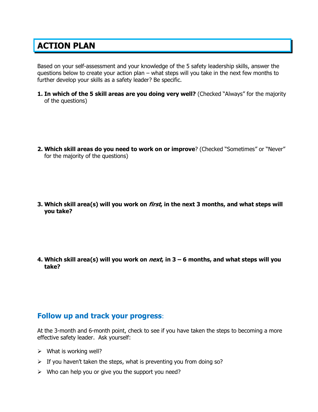### **ACTION PLAN**

Based on your self-assessment and your knowledge of the 5 safety leadership skills, answer the questions below to create your action plan – what steps will you take in the next few months to further develop your skills as a safety leader? Be specific.

**1. In which of the 5 skill areas are you doing very well?** (Checked "Always" for the majority of the questions)

- **2. Which skill areas do you need to work on or improve**? (Checked "Sometimes" or "Never" for the majority of the questions)
- **3. Which skill area(s) will you work on first, in the next 3 months, and what steps will you take?**

**4. Which skill area(s) will you work on next, in 3 – 6 months, and what steps will you take?**

#### **Follow up and track your progress**:

At the 3-month and 6-month point, check to see if you have taken the steps to becoming a more effective safety leader. Ask yourself:

- $\triangleright$  What is working well?
- $\triangleright$  If you haven't taken the steps, what is preventing you from doing so?
- $\triangleright$  Who can help you or give you the support you need?